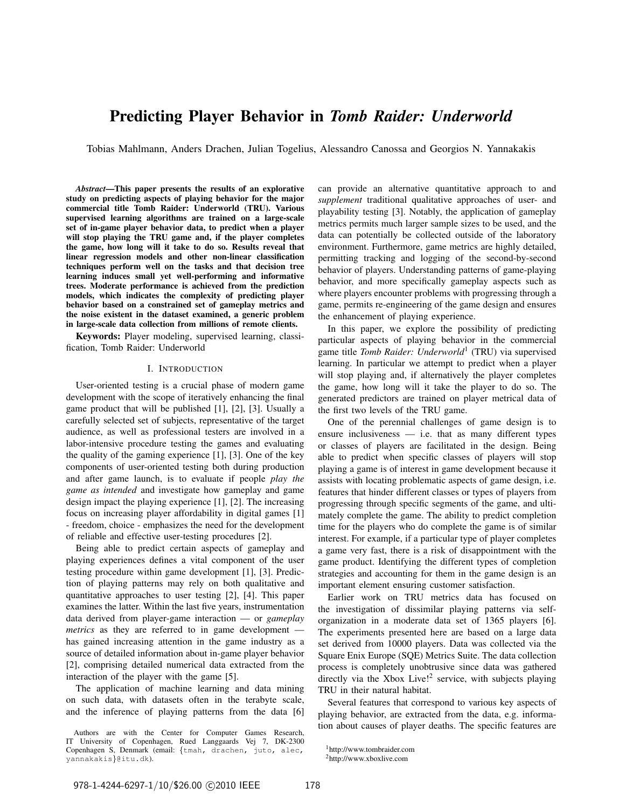# Predicting Player Behavior in *Tomb Raider: Underworld*

Tobias Mahlmann, Anders Drachen, Julian Togelius, Alessandro Canossa and Georgios N. Yannakakis

*Abstract*—This paper presents the results of an explorative study on predicting aspects of playing behavior for the major commercial title Tomb Raider: Underworld (TRU). Various supervised learning algorithms are trained on a large-scale set of in-game player behavior data, to predict when a player will stop playing the TRU game and, if the player completes the game, how long will it take to do so. Results reveal that linear regression models and other non-linear classification techniques perform well on the tasks and that decision tree learning induces small yet well-performing and informative trees. Moderate performance is achieved from the prediction models, which indicates the complexity of predicting player behavior based on a constrained set of gameplay metrics and the noise existent in the dataset examined, a generic problem in large-scale data collection from millions of remote clients.

Keywords: Player modeling, supervised learning, classification, Tomb Raider: Underworld

### I. INTRODUCTION

User-oriented testing is a crucial phase of modern game development with the scope of iteratively enhancing the final game product that will be published [1], [2], [3]. Usually a carefully selected set of subjects, representative of the target audience, as well as professional testers are involved in a labor-intensive procedure testing the games and evaluating the quality of the gaming experience [1], [3]. One of the key components of user-oriented testing both during production and after game launch, is to evaluate if people *play the game as intended* and investigate how gameplay and game design impact the playing experience [1], [2]. The increasing focus on increasing player affordability in digital games [1] - freedom, choice - emphasizes the need for the development of reliable and effective user-testing procedures [2].

Being able to predict certain aspects of gameplay and playing experiences defines a vital component of the user testing procedure within game development [1], [3]. Prediction of playing patterns may rely on both qualitative and quantitative approaches to user testing [2], [4]. This paper examines the latter. Within the last five years, instrumentation data derived from player-game interaction — or *gameplay metrics* as they are referred to in game development has gained increasing attention in the game industry as a source of detailed information about in-game player behavior [2], comprising detailed numerical data extracted from the interaction of the player with the game [5].

The application of machine learning and data mining on such data, with datasets often in the terabyte scale, and the inference of playing patterns from the data [6] can provide an alternative quantitative approach to and *supplement* traditional qualitative approaches of user- and playability testing [3]. Notably, the application of gameplay metrics permits much larger sample sizes to be used, and the data can potentially be collected outside of the laboratory environment. Furthermore, game metrics are highly detailed, permitting tracking and logging of the second-by-second behavior of players. Understanding patterns of game-playing behavior, and more specifically gameplay aspects such as where players encounter problems with progressing through a game, permits re-engineering of the game design and ensures the enhancement of playing experience.

In this paper, we explore the possibility of predicting particular aspects of playing behavior in the commercial game title *Tomb Raider: Underworld*<sup>1</sup> (TRU) via supervised learning. In particular we attempt to predict when a player will stop playing and, if alternatively the player completes the game, how long will it take the player to do so. The generated predictors are trained on player metrical data of the first two levels of the TRU game.

One of the perennial challenges of game design is to ensure inclusiveness  $-$  i.e. that as many different types or classes of players are facilitated in the design. Being able to predict when specific classes of players will stop playing a game is of interest in game development because it assists with locating problematic aspects of game design, i.e. features that hinder different classes or types of players from progressing through specific segments of the game, and ultimately complete the game. The ability to predict completion time for the players who do complete the game is of similar interest. For example, if a particular type of player completes a game very fast, there is a risk of disappointment with the game product. Identifying the different types of completion strategies and accounting for them in the game design is an important element ensuring customer satisfaction.

Earlier work on TRU metrics data has focused on the investigation of dissimilar playing patterns via selforganization in a moderate data set of 1365 players [6]. The experiments presented here are based on a large data set derived from 10000 players. Data was collected via the Square Enix Europe (SQE) Metrics Suite. The data collection process is completely unobtrusive since data was gathered directly via the Xbox Live!<sup>2</sup> service, with subjects playing TRU in their natural habitat.

Several features that correspond to various key aspects of playing behavior, are extracted from the data, e.g. information about causes of player deaths. The specific features are

Authors are with the Center for Computer Games Research, IT University of Copenhagen, Rued Langgaards Vej 7, DK-2300 Copenhagen S, Denmark (email: {tmah, drachen, juto, alec, yannakakis}@itu.dk).

<sup>1</sup>http://www.tombraider.com

<sup>2</sup>http://www.xboxlive.com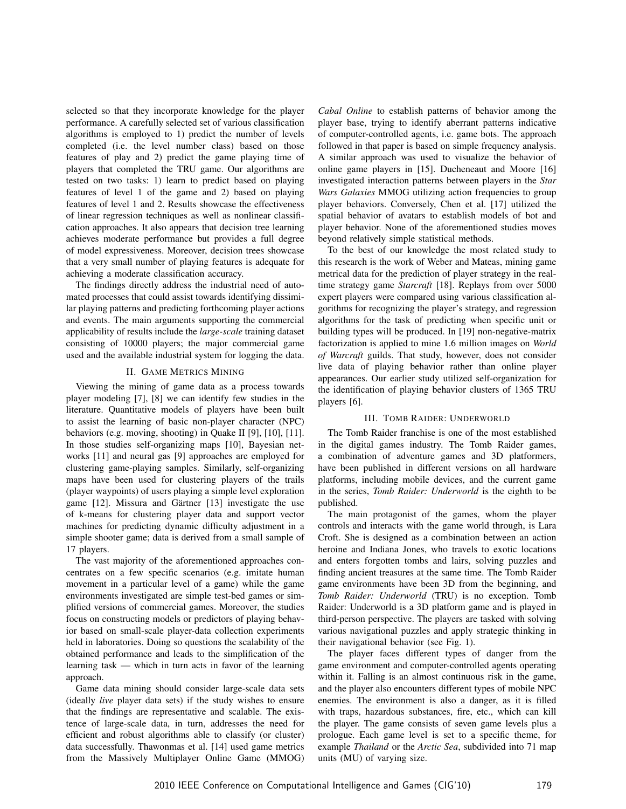selected so that they incorporate knowledge for the player performance. A carefully selected set of various classification algorithms is employed to 1) predict the number of levels completed (i.e. the level number class) based on those features of play and 2) predict the game playing time of players that completed the TRU game. Our algorithms are tested on two tasks: 1) learn to predict based on playing features of level 1 of the game and 2) based on playing features of level 1 and 2. Results showcase the effectiveness of linear regression techniques as well as nonlinear classification approaches. It also appears that decision tree learning achieves moderate performance but provides a full degree of model expressiveness. Moreover, decision trees showcase that a very small number of playing features is adequate for achieving a moderate classification accuracy.

The findings directly address the industrial need of automated processes that could assist towards identifying dissimilar playing patterns and predicting forthcoming player actions and events. The main arguments supporting the commercial applicability of results include the *large-scale* training dataset consisting of 10000 players; the major commercial game used and the available industrial system for logging the data.

## II. GAME METRICS MINING

Viewing the mining of game data as a process towards player modeling [7], [8] we can identify few studies in the literature. Quantitative models of players have been built to assist the learning of basic non-player character (NPC) behaviors (e.g. moving, shooting) in Quake II [9], [10], [11]. In those studies self-organizing maps [10], Bayesian networks [11] and neural gas [9] approaches are employed for clustering game-playing samples. Similarly, self-organizing maps have been used for clustering players of the trails (player waypoints) of users playing a simple level exploration game [12]. Missura and Gärtner [13] investigate the use of k-means for clustering player data and support vector machines for predicting dynamic difficulty adjustment in a simple shooter game; data is derived from a small sample of 17 players.

The vast majority of the aforementioned approaches concentrates on a few specific scenarios (e.g. imitate human movement in a particular level of a game) while the game environments investigated are simple test-bed games or simplified versions of commercial games. Moreover, the studies focus on constructing models or predictors of playing behavior based on small-scale player-data collection experiments held in laboratories. Doing so questions the scalability of the obtained performance and leads to the simplification of the learning task — which in turn acts in favor of the learning approach.

Game data mining should consider large-scale data sets (ideally *live* player data sets) if the study wishes to ensure that the findings are representative and scalable. The existence of large-scale data, in turn, addresses the need for efficient and robust algorithms able to classify (or cluster) data successfully. Thawonmas et al. [14] used game metrics from the Massively Multiplayer Online Game (MMOG)

*Cabal Online* to establish patterns of behavior among the player base, trying to identify aberrant patterns indicative of computer-controlled agents, i.e. game bots. The approach followed in that paper is based on simple frequency analysis. A similar approach was used to visualize the behavior of online game players in [15]. Ducheneaut and Moore [16] investigated interaction patterns between players in the *Star Wars Galaxies* MMOG utilizing action frequencies to group player behaviors. Conversely, Chen et al. [17] utilized the spatial behavior of avatars to establish models of bot and player behavior. None of the aforementioned studies moves beyond relatively simple statistical methods.

To the best of our knowledge the most related study to this research is the work of Weber and Mateas, mining game metrical data for the prediction of player strategy in the realtime strategy game *Starcraft* [18]. Replays from over 5000 expert players were compared using various classification algorithms for recognizing the player's strategy, and regression algorithms for the task of predicting when specific unit or building types will be produced. In [19] non-negative-matrix factorization is applied to mine 1.6 million images on *World of Warcraft* guilds. That study, however, does not consider live data of playing behavior rather than online player appearances. Our earlier study utilized self-organization for the identification of playing behavior clusters of 1365 TRU players [6].

## III. TOMB RAIDER: UNDERWORLD

The Tomb Raider franchise is one of the most established in the digital games industry. The Tomb Raider games, a combination of adventure games and 3D platformers, have been published in different versions on all hardware platforms, including mobile devices, and the current game in the series, *Tomb Raider: Underworld* is the eighth to be published.

The main protagonist of the games, whom the player controls and interacts with the game world through, is Lara Croft. She is designed as a combination between an action heroine and Indiana Jones, who travels to exotic locations and enters forgotten tombs and lairs, solving puzzles and finding ancient treasures at the same time. The Tomb Raider game environments have been 3D from the beginning, and *Tomb Raider: Underworld* (TRU) is no exception. Tomb Raider: Underworld is a 3D platform game and is played in third-person perspective. The players are tasked with solving various navigational puzzles and apply strategic thinking in their navigational behavior (see Fig. 1).

The player faces different types of danger from the game environment and computer-controlled agents operating within it. Falling is an almost continuous risk in the game, and the player also encounters different types of mobile NPC enemies. The environment is also a danger, as it is filled with traps, hazardous substances, fire, etc., which can kill the player. The game consists of seven game levels plus a prologue. Each game level is set to a specific theme, for example *Thailand* or the *Arctic Sea*, subdivided into 71 map units (MU) of varying size.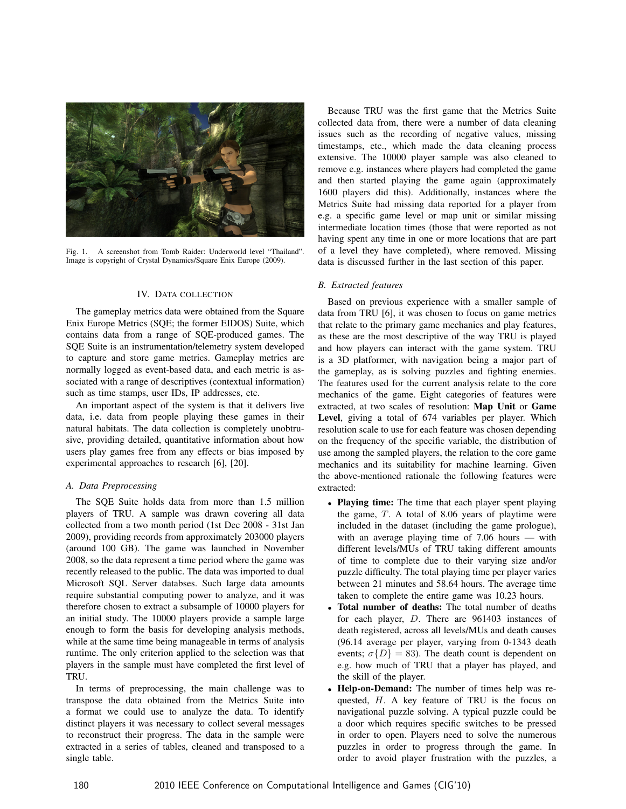

Fig. 1. A screenshot from Tomb Raider: Underworld level "Thailand". Image is copyright of Crystal Dynamics/Square Enix Europe (2009).

## IV. DATA COLLECTION

The gameplay metrics data were obtained from the Square Enix Europe Metrics (SQE; the former EIDOS) Suite, which contains data from a range of SQE-produced games. The SQE Suite is an instrumentation/telemetry system developed to capture and store game metrics. Gameplay metrics are normally logged as event-based data, and each metric is associated with a range of descriptives (contextual information) such as time stamps, user IDs, IP addresses, etc.

An important aspect of the system is that it delivers live data, i.e. data from people playing these games in their natural habitats. The data collection is completely unobtrusive, providing detailed, quantitative information about how users play games free from any effects or bias imposed by experimental approaches to research [6], [20].

## *A. Data Preprocessing*

The SQE Suite holds data from more than 1.5 million players of TRU. A sample was drawn covering all data collected from a two month period (1st Dec 2008 - 31st Jan 2009), providing records from approximately 203000 players (around 100 GB). The game was launched in November 2008, so the data represent a time period where the game was recently released to the public. The data was imported to dual Microsoft SQL Server databses. Such large data amounts require substantial computing power to analyze, and it was therefore chosen to extract a subsample of 10000 players for an initial study. The 10000 players provide a sample large enough to form the basis for developing analysis methods, while at the same time being manageable in terms of analysis runtime. The only criterion applied to the selection was that players in the sample must have completed the first level of TRU.

In terms of preprocessing, the main challenge was to transpose the data obtained from the Metrics Suite into a format we could use to analyze the data. To identify distinct players it was necessary to collect several messages to reconstruct their progress. The data in the sample were extracted in a series of tables, cleaned and transposed to a single table.

Because TRU was the first game that the Metrics Suite collected data from, there were a number of data cleaning issues such as the recording of negative values, missing timestamps, etc., which made the data cleaning process extensive. The 10000 player sample was also cleaned to remove e.g. instances where players had completed the game and then started playing the game again (approximately 1600 players did this). Additionally, instances where the Metrics Suite had missing data reported for a player from e.g. a specific game level or map unit or similar missing intermediate location times (those that were reported as not having spent any time in one or more locations that are part of a level they have completed), where removed. Missing data is discussed further in the last section of this paper.

## *B. Extracted features*

Based on previous experience with a smaller sample of data from TRU [6], it was chosen to focus on game metrics that relate to the primary game mechanics and play features, as these are the most descriptive of the way TRU is played and how players can interact with the game system. TRU is a 3D platformer, with navigation being a major part of the gameplay, as is solving puzzles and fighting enemies. The features used for the current analysis relate to the core mechanics of the game. Eight categories of features were extracted, at two scales of resolution: Map Unit or Game Level, giving a total of 674 variables per player. Which resolution scale to use for each feature was chosen depending on the frequency of the specific variable, the distribution of use among the sampled players, the relation to the core game mechanics and its suitability for machine learning. Given the above-mentioned rationale the following features were extracted:

- Playing time: The time that each player spent playing the game,  $T$ . A total of 8.06 years of playtime were included in the dataset (including the game prologue), with an average playing time of 7.06 hours — with different levels/MUs of TRU taking different amounts of time to complete due to their varying size and/or puzzle difficulty. The total playing time per player varies between 21 minutes and 58.64 hours. The average time taken to complete the entire game was 10.23 hours.
- Total number of deaths: The total number of deaths for each player, D. There are 961403 instances of death registered, across all levels/MUs and death causes (96.14 average per player, varying from 0-1343 death events;  $\sigma\{D\} = 83$ ). The death count is dependent on e.g. how much of TRU that a player has played, and the skill of the player.
- Help-on-Demand: The number of times help was requested, H. A key feature of TRU is the focus on navigational puzzle solving. A typical puzzle could be a door which requires specific switches to be pressed in order to open. Players need to solve the numerous puzzles in order to progress through the game. In order to avoid player frustration with the puzzles, a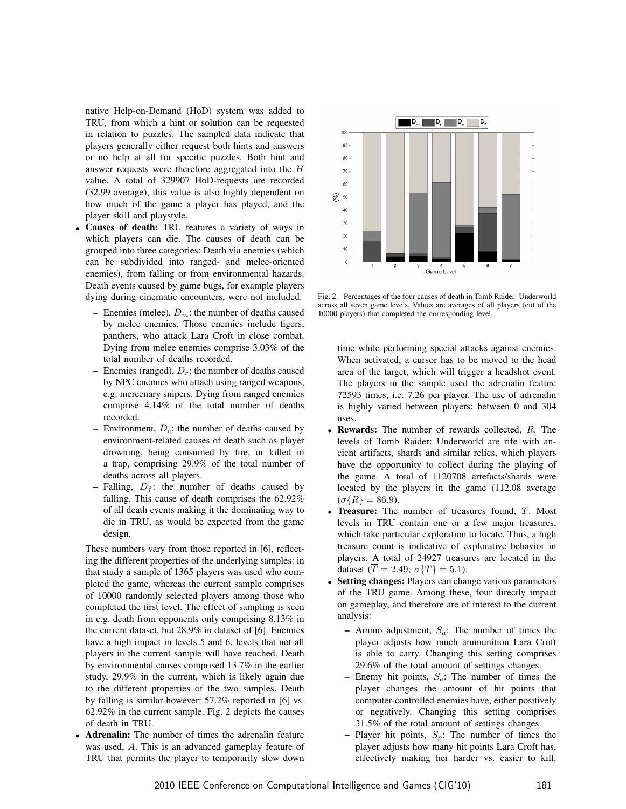native Help-on-Demand (HoD) system was added to TRU, from which a hint or solution can be requested in relation to puzzles. The sampled data indicate that players generally either request both hints and answers or no help at all for specific puzzles. Both hint and answer requests were therefore aggregated into the H value. A total of 329907 HoD-requests are recorded (32.99 average), this value is also highly dependent on how much of the game a player has played, and the player skill and playstyle.

- Causes of death: TRU features a variety of ways in which players can die. The causes of death can be grouped into three categories: Death via enemies (which can be subdivided into ranged- and melee-oriented enemies), from falling or from environmental hazards. Death events caused by game bugs, for example players dying during cinematic encounters, were not included.
	- Enemies (melee),  $D_m$ : the number of deaths caused by melee enemies. Those enemies include tigers, panthers, who attack Lara Croft in close combat. Dying from melee enemies comprise 3.03% of the total number of deaths recorded.
	- Enemies (ranged),  $D<sub>r</sub>$ : the number of deaths caused by NPC enemies who attach using ranged weapons, e.g. mercenary snipers. Dying from ranged enemies comprise 4.14% of the total number of deaths recorded.
	- Environment,  $D_e$ : the number of deaths caused by environment-related causes of death such as player drowning, being consumed by fire, or killed in a trap, comprising 29.9% of the total number of deaths across all players.
	- Falling,  $D_f$ : the number of deaths caused by falling. This cause of death comprises the 62.92% of all death events making it the dominating way to die in TRU, as would be expected from the game design.

These numbers vary from those reported in [6], reflecting the different properties of the underlying samples: in that study a sample of 1365 players was used who completed the game, whereas the current sample comprises of 10000 randomly selected players among those who completed the first level. The effect of sampling is seen in e.g. death from opponents only comprising 8.13% in the current dataset, but 28.9% in dataset of [6]. Enemies have a high impact in levels 5 and 6, levels that not all players in the current sample will have reached. Death by environmental causes comprised 13.7% in the earlier study, 29.9% in the current, which is likely again due to the different properties of the two samples. Death by falling is similar however: 57.2% reported in [6] vs. 62.92% in the current sample. Fig. 2 depicts the causes of death in TRU.

• Adrenalin: The number of times the adrenalin feature was used, A. This is an advanced gameplay feature of TRU that permits the player to temporarily slow down



Fig. 2. Percentages of the four causes of death in Tomb Raider: Underworld across all seven game levels. Values are averages of all players (out of the 10000 players) that completed the corresponding level.

time while performing special attacks against enemies. When activated, a cursor has to be moved to the head area of the target, which will trigger a headshot event. The players in the sample used the adrenalin feature 72593 times, i.e. 7.26 per player. The use of adrenalin is highly varied between players: between 0 and 304 uses.

- Rewards: The number of rewards collected, R. The levels of Tomb Raider: Underworld are rife with ancient artifacts, shards and similar relics, which players have the opportunity to collect during the playing of the game. A total of 1120708 artefacts/shards were located by the players in the game (112.08 average  $(\sigma\{R\} = 86.9).$
- **Treasure:** The number of treasures found, T. Most levels in TRU contain one or a few major treasures, which take particular exploration to locate. Thus, a high treasure count is indicative of explorative behavior in players. A total of 24927 treasures are located in the dataset ( $\overline{T} = 2.49$ ;  $\sigma\{T\} = 5.1$ ).
- Setting changes: Players can change various parameters of the TRU game. Among these, four directly impact on gameplay, and therefore are of interest to the current analysis:
	- Ammo adjustment,  $S_a$ : The number of times the player adjusts how much ammunition Lara Croft is able to carry. Changing this setting comprises 29.6% of the total amount of settings changes.
	- Enemy hit points,  $S_e$ : The number of times the player changes the amount of hit points that computer-controlled enemies have, either positively or negatively. Changing this setting comprises 31.5% of the total amount of settings changes.
	- Player hit points,  $S_p$ : The number of times the player adjusts how many hit points Lara Croft has, effectively making her harder vs. easier to kill.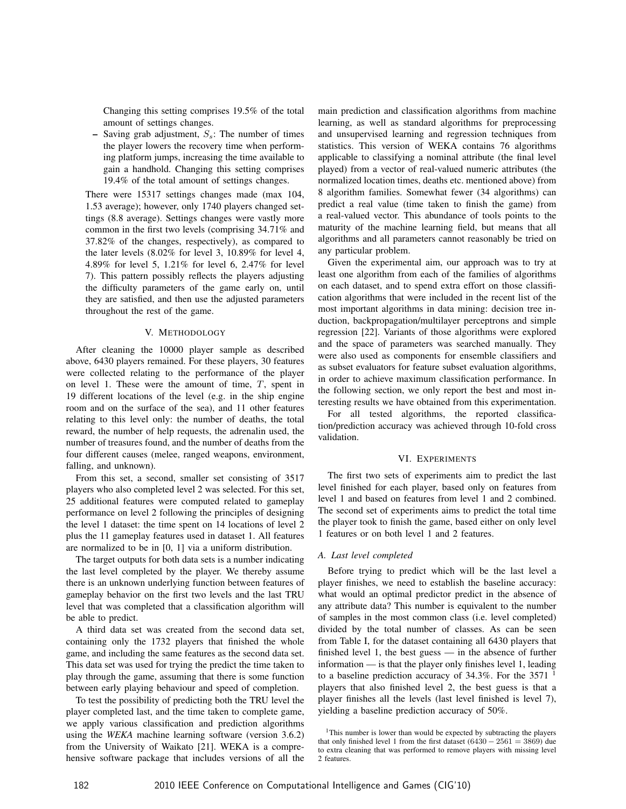Changing this setting comprises 19.5% of the total amount of settings changes.

– Saving grab adjustment,  $S_s$ : The number of times the player lowers the recovery time when performing platform jumps, increasing the time available to gain a handhold. Changing this setting comprises 19.4% of the total amount of settings changes.

There were 15317 settings changes made (max 104, 1.53 average); however, only 1740 players changed settings (8.8 average). Settings changes were vastly more common in the first two levels (comprising 34.71% and 37.82% of the changes, respectively), as compared to the later levels (8.02% for level 3, 10.89% for level 4, 4.89% for level 5, 1.21% for level 6, 2.47% for level 7). This pattern possibly reflects the players adjusting the difficulty parameters of the game early on, until they are satisfied, and then use the adjusted parameters throughout the rest of the game.

## V. METHODOLOGY

After cleaning the 10000 player sample as described above, 6430 players remained. For these players, 30 features were collected relating to the performance of the player on level 1. These were the amount of time,  $T$ , spent in 19 different locations of the level (e.g. in the ship engine room and on the surface of the sea), and 11 other features relating to this level only: the number of deaths, the total reward, the number of help requests, the adrenalin used, the number of treasures found, and the number of deaths from the four different causes (melee, ranged weapons, environment, falling, and unknown).

From this set, a second, smaller set consisting of 3517 players who also completed level 2 was selected. For this set, 25 additional features were computed related to gameplay performance on level 2 following the principles of designing the level 1 dataset: the time spent on 14 locations of level 2 plus the 11 gameplay features used in dataset 1. All features are normalized to be in [0, 1] via a uniform distribution.

The target outputs for both data sets is a number indicating the last level completed by the player. We thereby assume there is an unknown underlying function between features of gameplay behavior on the first two levels and the last TRU level that was completed that a classification algorithm will be able to predict.

A third data set was created from the second data set, containing only the 1732 players that finished the whole game, and including the same features as the second data set. This data set was used for trying the predict the time taken to play through the game, assuming that there is some function between early playing behaviour and speed of completion.

To test the possibility of predicting both the TRU level the player completed last, and the time taken to complete game, we apply various classification and prediction algorithms using the *WEKA* machine learning software (version 3.6.2) from the University of Waikato [21]. WEKA is a comprehensive software package that includes versions of all the main prediction and classification algorithms from machine learning, as well as standard algorithms for preprocessing and unsupervised learning and regression techniques from statistics. This version of WEKA contains 76 algorithms applicable to classifying a nominal attribute (the final level played) from a vector of real-valued numeric attributes (the normalized location times, deaths etc. mentioned above) from 8 algorithm families. Somewhat fewer (34 algorithms) can predict a real value (time taken to finish the game) from a real-valued vector. This abundance of tools points to the maturity of the machine learning field, but means that all algorithms and all parameters cannot reasonably be tried on any particular problem.

Given the experimental aim, our approach was to try at least one algorithm from each of the families of algorithms on each dataset, and to spend extra effort on those classification algorithms that were included in the recent list of the most important algorithms in data mining: decision tree induction, backpropagation/multilayer perceptrons and simple regression [22]. Variants of those algorithms were explored and the space of parameters was searched manually. They were also used as components for ensemble classifiers and as subset evaluators for feature subset evaluation algorithms, in order to achieve maximum classification performance. In the following section, we only report the best and most interesting results we have obtained from this experimentation.

For all tested algorithms, the reported classification/prediction accuracy was achieved through 10-fold cross validation.

## VI. EXPERIMENTS

The first two sets of experiments aim to predict the last level finished for each player, based only on features from level 1 and based on features from level 1 and 2 combined. The second set of experiments aims to predict the total time the player took to finish the game, based either on only level 1 features or on both level 1 and 2 features.

### *A. Last level completed*

Before trying to predict which will be the last level a player finishes, we need to establish the baseline accuracy: what would an optimal predictor predict in the absence of any attribute data? This number is equivalent to the number of samples in the most common class (i.e. level completed) divided by the total number of classes. As can be seen from Table I, for the dataset containing all 6430 players that finished level 1, the best guess — in the absence of further information — is that the player only finishes level 1, leading to a baseline prediction accuracy of  $34.3\%$ . For the  $3571<sup>-1</sup>$ players that also finished level 2, the best guess is that a player finishes all the levels (last level finished is level 7), yielding a baseline prediction accuracy of 50%.

<sup>&</sup>lt;sup>1</sup>This number is lower than would be expected by subtracting the players that only finished level 1 from the first dataset  $(6430 - 2561 = 3869)$  due to extra cleaning that was performed to remove players with missing level 2 features.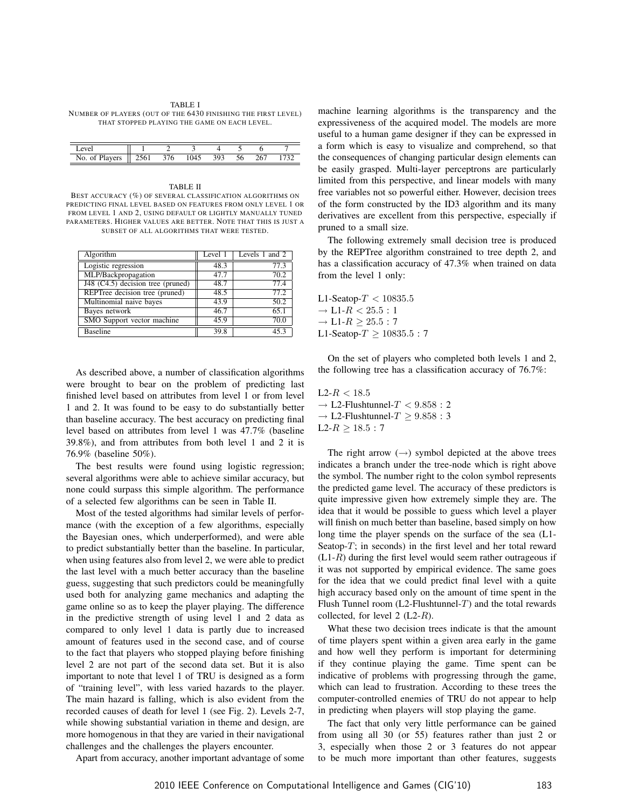TABLE I NUMBER OF PLAYERS (OUT OF THE 6430 FINISHING THE FIRST LEVEL) THAT STOPPED PLAYING THE GAME ON EACH LEVEL.

| . .<br>$\overline{\phantom{a}}$ | ν | τ | $\overline{\phantom{a}}$ | ີ |  |
|---------------------------------|---|---|--------------------------|---|--|

TABLE II BEST ACCURACY (%) OF SEVERAL CLASSIFICATION ALGORITHMS ON PREDICTING FINAL LEVEL BASED ON FEATURES FROM ONLY LEVEL 1 OR FROM LEVEL 1 AND 2, USING DEFAULT OR LIGHTLY MANUALLY TUNED PARAMETERS. HIGHER VALUES ARE BETTER. NOTE THAT THIS IS JUST A SUBSET OF ALL ALGORITHMS THAT WERE TESTED.

| Algorithm                         | Level 1 | Levels 1 and 2 |
|-----------------------------------|---------|----------------|
| Logistic regression               | 48.3    | 77.3           |
| MLP/Backpropagation               | 47.7    | 70.2           |
| J48 (C4.5) decision tree (pruned) | 48.7    | 77.4           |
| REPTree decision tree (pruned)    | 48.5    | 77.2           |
| Multinomial naive bayes           | 43.9    | 50.2           |
| Bayes network                     | 46.7    | 65.1           |
| SMO Support vector machine        | 45.9    | 70.0           |
| <b>Baseline</b>                   | 39.8    | 45.3           |

As described above, a number of classification algorithms were brought to bear on the problem of predicting last finished level based on attributes from level 1 or from level 1 and 2. It was found to be easy to do substantially better than baseline accuracy. The best accuracy on predicting final level based on attributes from level 1 was 47.7% (baseline 39.8%), and from attributes from both level 1 and 2 it is 76.9% (baseline 50%).

The best results were found using logistic regression; several algorithms were able to achieve similar accuracy, but none could surpass this simple algorithm. The performance of a selected few algorithms can be seen in Table II.

Most of the tested algorithms had similar levels of performance (with the exception of a few algorithms, especially the Bayesian ones, which underperformed), and were able to predict substantially better than the baseline. In particular, when using features also from level 2, we were able to predict the last level with a much better accuracy than the baseline guess, suggesting that such predictors could be meaningfully used both for analyzing game mechanics and adapting the game online so as to keep the player playing. The difference in the predictive strength of using level 1 and 2 data as compared to only level 1 data is partly due to increased amount of features used in the second case, and of course to the fact that players who stopped playing before finishing level 2 are not part of the second data set. But it is also important to note that level 1 of TRU is designed as a form of "training level", with less varied hazards to the player. The main hazard is falling, which is also evident from the recorded causes of death for level 1 (see Fig. 2). Levels 2-7, while showing substantial variation in theme and design, are more homogenous in that they are varied in their navigational challenges and the challenges the players encounter.

machine learning algorithms is the transparency and the expressiveness of the acquired model. The models are more useful to a human game designer if they can be expressed in a form which is easy to visualize and comprehend, so that the consequences of changing particular design elements can be easily grasped. Multi-layer perceptrons are particularly limited from this perspective, and linear models with many free variables not so powerful either. However, decision trees of the form constructed by the ID3 algorithm and its many derivatives are excellent from this perspective, especially if pruned to a small size.

The following extremely small decision tree is produced by the REPTree algorithm constrained to tree depth 2, and has a classification accuracy of 47.3% when trained on data from the level 1 only:

| L1-Seatop- $T < 10835.5$          |
|-----------------------------------|
| $\rightarrow$ L1- $R < 25.5:1$    |
| $\rightarrow$ L1- $R \geq 25.5:7$ |
| L1-Seatop- $T \ge 10835.5$ : 7    |

On the set of players who completed both levels 1 and 2, the following tree has a classification accuracy of 76.7%:

 $L2-R < 18.5$  $\rightarrow$  L2-Flushtunnel- $T < 9.858 : 2$  $\rightarrow$  L2-Flushtunnel- $T \geq 9.858 : 3$  $L2-R \ge 18.5 : 7$ 

The right arrow  $(\rightarrow)$  symbol depicted at the above trees indicates a branch under the tree-node which is right above the symbol. The number right to the colon symbol represents the predicted game level. The accuracy of these predictors is quite impressive given how extremely simple they are. The idea that it would be possible to guess which level a player will finish on much better than baseline, based simply on how long time the player spends on the surface of the sea (L1- Seatop-T; in seconds) in the first level and her total reward  $(L1-R)$  during the first level would seem rather outrageous if it was not supported by empirical evidence. The same goes for the idea that we could predict final level with a quite high accuracy based only on the amount of time spent in the Flush Tunnel room  $(L2$ -Flushtunnel-T) and the total rewards collected, for level  $2$  (L2-R).

What these two decision trees indicate is that the amount of time players spent within a given area early in the game and how well they perform is important for determining if they continue playing the game. Time spent can be indicative of problems with progressing through the game, which can lead to frustration. According to these trees the computer-controlled enemies of TRU do not appear to help in predicting when players will stop playing the game.

The fact that only very little performance can be gained from using all 30 (or 55) features rather than just 2 or 3, especially when those 2 or 3 features do not appear to be much more important than other features, suggests

Apart from accuracy, another important advantage of some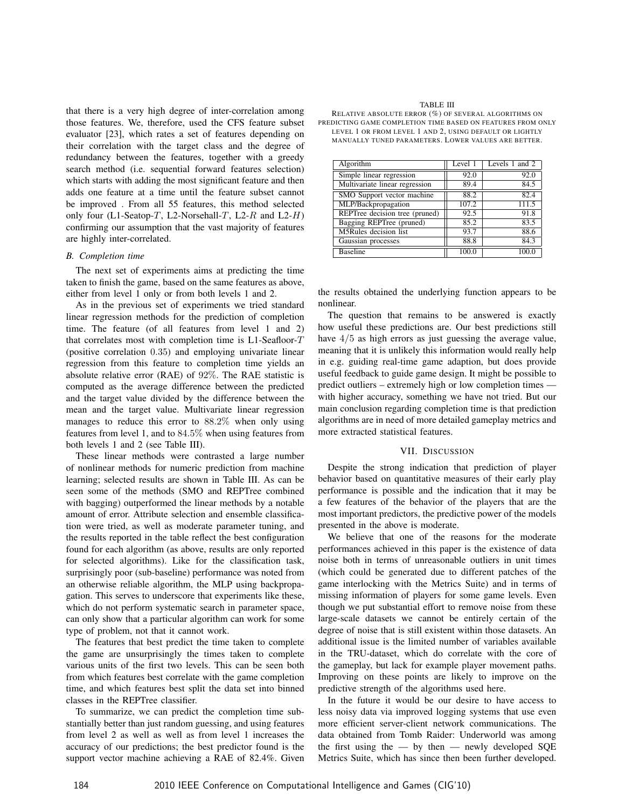that there is a very high degree of inter-correlation among those features. We, therefore, used the CFS feature subset evaluator [23], which rates a set of features depending on their correlation with the target class and the degree of redundancy between the features, together with a greedy search method (i.e. sequential forward features selection) which starts with adding the most significant feature and then adds one feature at a time until the feature subset cannot be improved . From all 55 features, this method selected only four (L1-Seatop-T, L2-Norsehall-T, L2-R and L2-H) confirming our assumption that the vast majority of features are highly inter-correlated.

## *B. Completion time*

The next set of experiments aims at predicting the time taken to finish the game, based on the same features as above, either from level 1 only or from both levels 1 and 2.

As in the previous set of experiments we tried standard linear regression methods for the prediction of completion time. The feature (of all features from level 1 and 2) that correlates most with completion time is L1-Seafloor-T (positive correlation 0.35) and employing univariate linear regression from this feature to completion time yields an absolute relative error (RAE) of 92%. The RAE statistic is computed as the average difference between the predicted and the target value divided by the difference between the mean and the target value. Multivariate linear regression manages to reduce this error to 88.2% when only using features from level 1, and to 84.5% when using features from both levels 1 and 2 (see Table III).

These linear methods were contrasted a large number of nonlinear methods for numeric prediction from machine learning; selected results are shown in Table III. As can be seen some of the methods (SMO and REPTree combined with bagging) outperformed the linear methods by a notable amount of error. Attribute selection and ensemble classification were tried, as well as moderate parameter tuning, and the results reported in the table reflect the best configuration found for each algorithm (as above, results are only reported for selected algorithms). Like for the classification task, surprisingly poor (sub-baseline) performance was noted from an otherwise reliable algorithm, the MLP using backpropagation. This serves to underscore that experiments like these, which do not perform systematic search in parameter space, can only show that a particular algorithm can work for some type of problem, not that it cannot work.

The features that best predict the time taken to complete the game are unsurprisingly the times taken to complete various units of the first two levels. This can be seen both from which features best correlate with the game completion time, and which features best split the data set into binned classes in the REPTree classifier.

To summarize, we can predict the completion time substantially better than just random guessing, and using features from level 2 as well as well as from level 1 increases the accuracy of our predictions; the best predictor found is the support vector machine achieving a RAE of 82.4%. Given

TABLE III RELATIVE ABSOLUTE ERROR (%) OF SEVERAL ALGORITHMS ON PREDICTING GAME COMPLETION TIME BASED ON FEATURES FROM ONLY LEVEL 1 OR FROM LEVEL 1 AND 2, USING DEFAULT OR LIGHTLY MANUALLY TUNED PARAMETERS. LOWER VALUES ARE BETTER.

| Algorithm                      | Level 1 | Levels 1 and 2 |
|--------------------------------|---------|----------------|
| Simple linear regression       | 92.0    | 92.0           |
| Multivariate linear regression | 89.4    | 84.5           |
| SMO Support vector machine     | 88.2    | 82.4           |
| MLP/Backpropagation            | 107.2   | 111.5          |
| REPTree decision tree (pruned) | 92.5    | 91.8           |
| Bagging REPTree (pruned)       | 85.2    | 83.5           |
| M5Rules decision list          | 93.7    | 88.6           |
| Gaussian processes             | 88.8    | 84.3           |
| <b>Baseline</b>                | 100.0   | 100.0          |

the results obtained the underlying function appears to be nonlinear.

The question that remains to be answered is exactly how useful these predictions are. Our best predictions still have 4/5 as high errors as just guessing the average value, meaning that it is unlikely this information would really help in e.g. guiding real-time game adaption, but does provide useful feedback to guide game design. It might be possible to predict outliers – extremely high or low completion times with higher accuracy, something we have not tried. But our main conclusion regarding completion time is that prediction algorithms are in need of more detailed gameplay metrics and more extracted statistical features.

## VII. DISCUSSION

Despite the strong indication that prediction of player behavior based on quantitative measures of their early play performance is possible and the indication that it may be a few features of the behavior of the players that are the most important predictors, the predictive power of the models presented in the above is moderate.

We believe that one of the reasons for the moderate performances achieved in this paper is the existence of data noise both in terms of unreasonable outliers in unit times (which could be generated due to different patches of the game interlocking with the Metrics Suite) and in terms of missing information of players for some game levels. Even though we put substantial effort to remove noise from these large-scale datasets we cannot be entirely certain of the degree of noise that is still existent within those datasets. An additional issue is the limited number of variables available in the TRU-dataset, which do correlate with the core of the gameplay, but lack for example player movement paths. Improving on these points are likely to improve on the predictive strength of the algorithms used here.

In the future it would be our desire to have access to less noisy data via improved logging systems that use even more efficient server-client network communications. The data obtained from Tomb Raider: Underworld was among the first using the  $-$  by then  $-$  newly developed SQE Metrics Suite, which has since then been further developed.